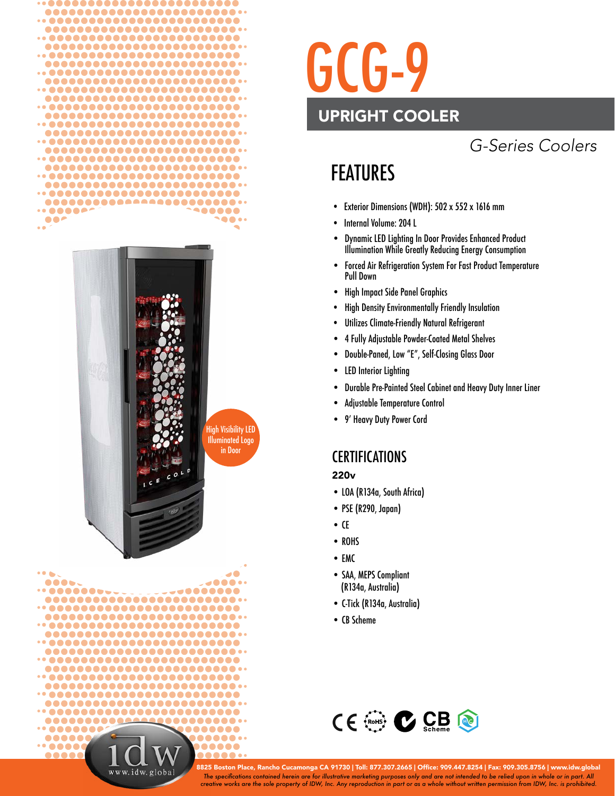



High Visibility LED Illuminated Logo in Door



# GCG-9 UPRIGHT COOLER

# *G-Series Coolers*

# FEATURES

- Exterior Dimensions (WDH): 502 x 552 x 1616 mm
- Internal Volume: 204 L
- Dynamic LED Lighting In Door Provides Enhanced Product Illumination While Greatly Reducing Energy Consumption
- Forced Air Refrigeration System For Fast Product Temperature Pull Down
- High Impact Side Panel Graphics
- High Density Environmentally Friendly Insulation
- Utilizes Climate-Friendly Natural Refrigerant
- 4 Fully Adjustable Powder-Coated Metal Shelves
- Double-Paned, Low "E", Self-Closing Glass Door
- LED Interior Lighting
- Durable Pre-Painted Steel Cabinet and Heavy Duty Inner Liner
- Adjustable Temperature Control
- 9' Heavy Duty Power Cord

#### **CERTIFICATIONS**

#### 220v

- LOA (R134a, South Africa)
- PSE (R290, Japan)
- $\bullet$  CE
- ROHS
- EMC
- SAA, MEPS Compliant (R134a, Australia)
- C-Tick (R134a, Australia)
- CB Scheme



*The specifi cations contained herein are for illustrative marketing purposes only and are not intended to be relied upon in whole or in part. All creative works are the sole property of IDW, Inc. Any reproduction in part or as a whole without written permission from IDW, Inc. is prohibited.* 8825 Boston Place, Rancho Cucamonga CA 91730 | Toll: 877.307.2665 | Office: 909.447.8254 | Fax: 909.305.8756 | www.idw.global